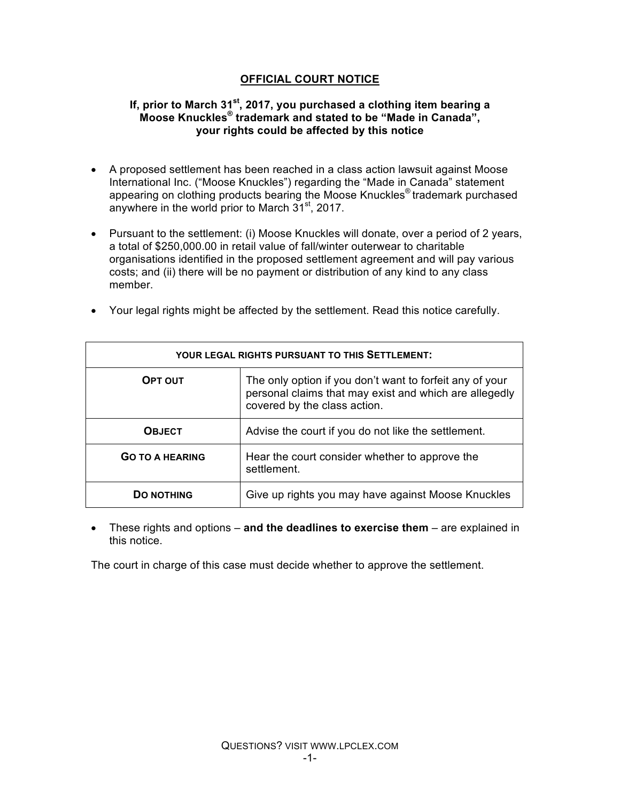# **OFFICIAL COURT NOTICE**

## **If, prior to March 31st, 2017, you purchased a clothing item bearing a Moose Knuckles® trademark and stated to be "Made in Canada", your rights could be affected by this notice**

- A proposed settlement has been reached in a class action lawsuit against Moose International Inc. ("Moose Knuckles") regarding the "Made in Canada" statement appearing on clothing products bearing the Moose Knuckles® trademark purchased anywhere in the world prior to March  $31<sup>st</sup>$ , 2017.
- Pursuant to the settlement: (i) Moose Knuckles will donate, over a period of 2 years, a total of \$250,000.00 in retail value of fall/winter outerwear to charitable organisations identified in the proposed settlement agreement and will pay various costs; and (ii) there will be no payment or distribution of any kind to any class member.

| <b>YOUR LEGAL RIGHTS PURSUANT TO THIS SETTLEMENT:</b> |                                                                                                                                                    |
|-------------------------------------------------------|----------------------------------------------------------------------------------------------------------------------------------------------------|
| OPT OUT                                               | The only option if you don't want to forfeit any of your<br>personal claims that may exist and which are allegedly<br>covered by the class action. |
| <b>OBJECT</b>                                         | Advise the court if you do not like the settlement.                                                                                                |
| <b>GO TO A HEARING</b>                                | Hear the court consider whether to approve the<br>settlement.                                                                                      |
| <b>DO NOTHING</b>                                     | Give up rights you may have against Moose Knuckles                                                                                                 |

• Your legal rights might be affected by the settlement. Read this notice carefully.

• These rights and options – **and the deadlines to exercise them** – are explained in this notice.

The court in charge of this case must decide whether to approve the settlement.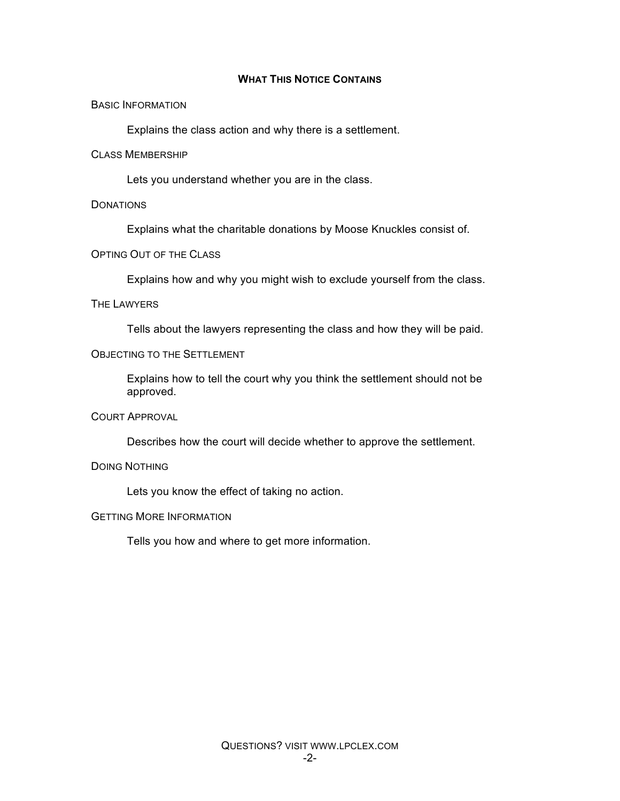#### **WHAT THIS NOTICE CONTAINS**

#### BASIC INFORMATION

Explains the class action and why there is a settlement.

#### CLASS MEMBERSHIP

Lets you understand whether you are in the class.

#### **DONATIONS**

Explains what the charitable donations by Moose Knuckles consist of.

#### OPTING OUT OF THE CLASS

Explains how and why you might wish to exclude yourself from the class.

#### THE LAWYERS

Tells about the lawyers representing the class and how they will be paid.

#### OBJECTING TO THE SETTLEMENT

Explains how to tell the court why you think the settlement should not be approved.

#### COURT APPROVAL

Describes how the court will decide whether to approve the settlement.

#### DOING NOTHING

Lets you know the effect of taking no action.

#### GETTING MORE INFORMATION

Tells you how and where to get more information.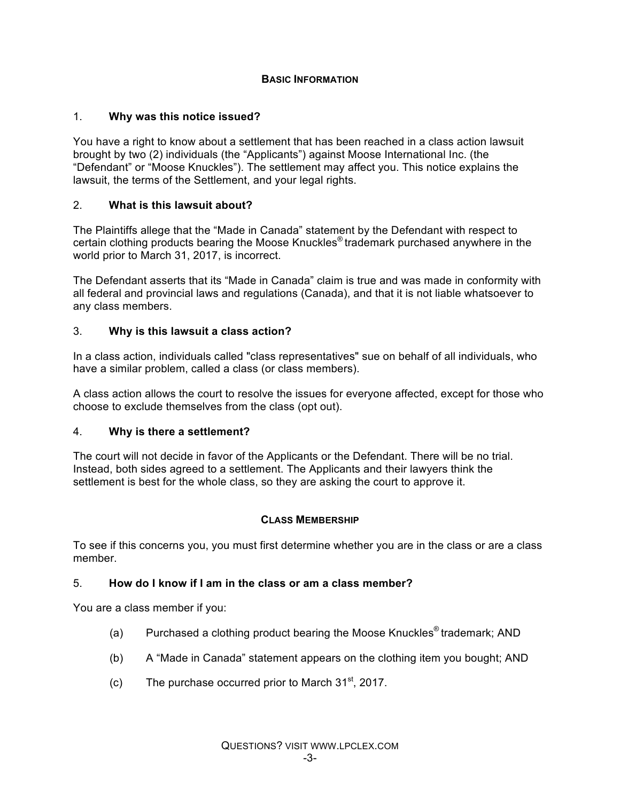## **BASIC INFORMATION**

# 1. **Why was this notice issued?**

You have a right to know about a settlement that has been reached in a class action lawsuit brought by two (2) individuals (the "Applicants") against Moose International Inc. (the "Defendant" or "Moose Knuckles"). The settlement may affect you. This notice explains the lawsuit, the terms of the Settlement, and your legal rights.

# 2. **What is this lawsuit about?**

The Plaintiffs allege that the "Made in Canada" statement by the Defendant with respect to certain clothing products bearing the Moose Knuckles® trademark purchased anywhere in the world prior to March 31, 2017, is incorrect.

The Defendant asserts that its "Made in Canada" claim is true and was made in conformity with all federal and provincial laws and regulations (Canada), and that it is not liable whatsoever to any class members.

## 3. **Why is this lawsuit a class action?**

In a class action, individuals called "class representatives" sue on behalf of all individuals, who have a similar problem, called a class (or class members).

A class action allows the court to resolve the issues for everyone affected, except for those who choose to exclude themselves from the class (opt out).

## 4. **Why is there a settlement?**

The court will not decide in favor of the Applicants or the Defendant. There will be no trial. Instead, both sides agreed to a settlement. The Applicants and their lawyers think the settlement is best for the whole class, so they are asking the court to approve it.

## **CLASS MEMBERSHIP**

To see if this concerns you, you must first determine whether you are in the class or are a class member.

## 5. **How do I know if I am in the class or am a class member?**

You are a class member if you:

- (a) Purchased a clothing product bearing the Moose Knuckles<sup>®</sup> trademark; AND
- (b) A "Made in Canada" statement appears on the clothing item you bought; AND
- (c) The purchase occurred prior to March  $31<sup>st</sup>$ , 2017.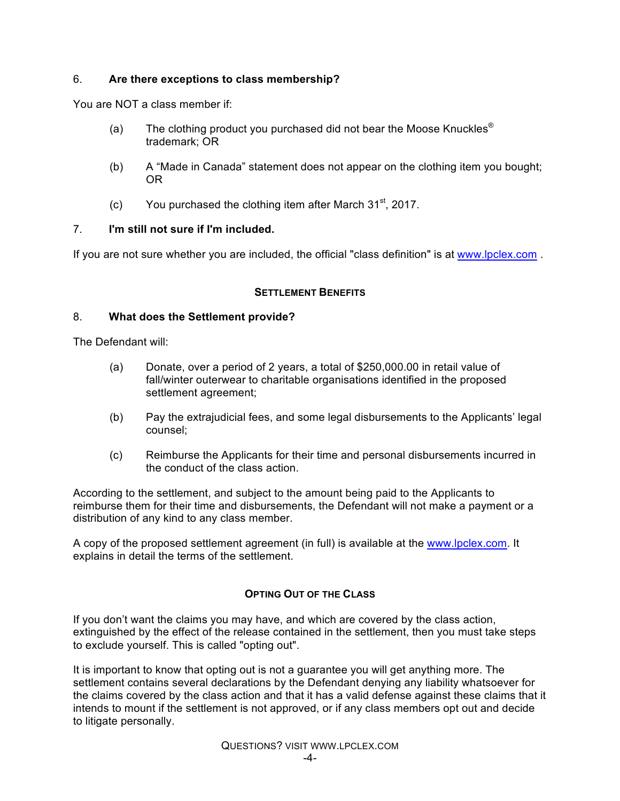## 6. **Are there exceptions to class membership?**

You are NOT a class member if:

- (a) The clothing product you purchased did not bear the Moose Knuckles<sup>®</sup> trademark; OR
- (b) A "Made in Canada" statement does not appear on the clothing item you bought; OR
- (c) You purchased the clothing item after March  $31<sup>st</sup>$ , 2017.

## 7. **I'm still not sure if I'm included.**

If you are not sure whether you are included, the official "class definition" is at www.lpclex.com.

# **SETTLEMENT BENEFITS**

## 8. **What does the Settlement provide?**

The Defendant will:

- (a) Donate, over a period of 2 years, a total of \$250,000.00 in retail value of fall/winter outerwear to charitable organisations identified in the proposed settlement agreement;
- (b) Pay the extrajudicial fees, and some legal disbursements to the Applicants' legal counsel;
- (c) Reimburse the Applicants for their time and personal disbursements incurred in the conduct of the class action.

According to the settlement, and subject to the amount being paid to the Applicants to reimburse them for their time and disbursements, the Defendant will not make a payment or a distribution of any kind to any class member.

A copy of the proposed settlement agreement (in full) is available at the www.lpclex.com. It explains in detail the terms of the settlement.

## **OPTING OUT OF THE CLASS**

If you don't want the claims you may have, and which are covered by the class action, extinguished by the effect of the release contained in the settlement, then you must take steps to exclude yourself. This is called "opting out".

It is important to know that opting out is not a guarantee you will get anything more. The settlement contains several declarations by the Defendant denying any liability whatsoever for the claims covered by the class action and that it has a valid defense against these claims that it intends to mount if the settlement is not approved, or if any class members opt out and decide to litigate personally.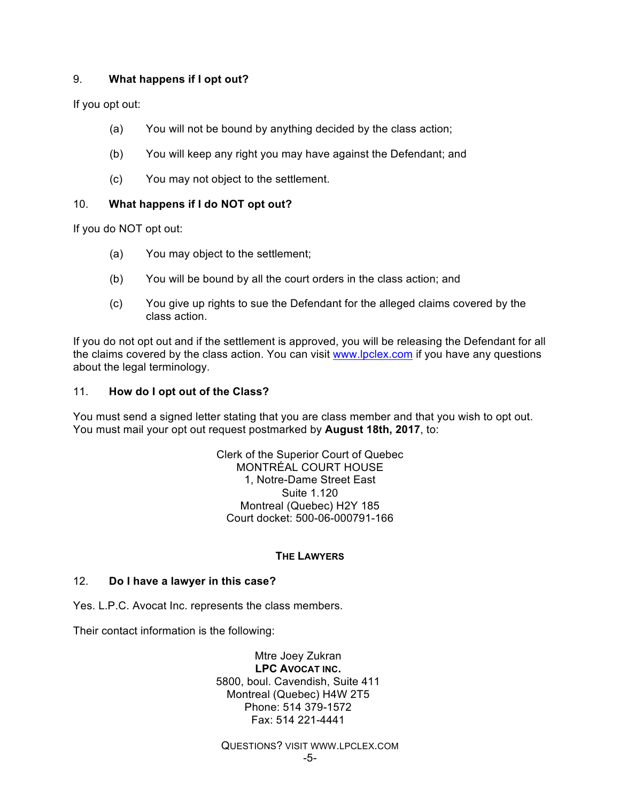## 9. **What happens if I opt out?**

If you opt out:

- (a) You will not be bound by anything decided by the class action;
- (b) You will keep any right you may have against the Defendant; and
- (c) You may not object to the settlement.

## 10. **What happens if I do NOT opt out?**

If you do NOT opt out:

- (a) You may object to the settlement;
- (b) You will be bound by all the court orders in the class action; and
- (c) You give up rights to sue the Defendant for the alleged claims covered by the class action.

If you do not opt out and if the settlement is approved, you will be releasing the Defendant for all the claims covered by the class action. You can visit www.lpclex.com if you have any questions about the legal terminology.

## 11. **How do I opt out of the Class?**

You must send a signed letter stating that you are class member and that you wish to opt out. You must mail your opt out request postmarked by **August 18th, 2017**, to:

> Clerk of the Superior Court of Quebec MONTRÉAL COURT HOUSE 1, Notre-Dame Street East Suite 1.120 Montreal (Quebec) H2Y 185 Court docket: 500-06-000791-166

## **THE LAWYERS**

## 12. **Do I have a lawyer in this case?**

Yes. L.P.C. Avocat Inc. represents the class members.

Their contact information is the following:

Mtre Joey Zukran **LPC AVOCAT INC.** 5800, boul. Cavendish, Suite 411 Montreal (Quebec) H4W 2T5 Phone: 514 379-1572 Fax: 514 221-4441

QUESTIONS? VISIT WWW.LPCLEX.COM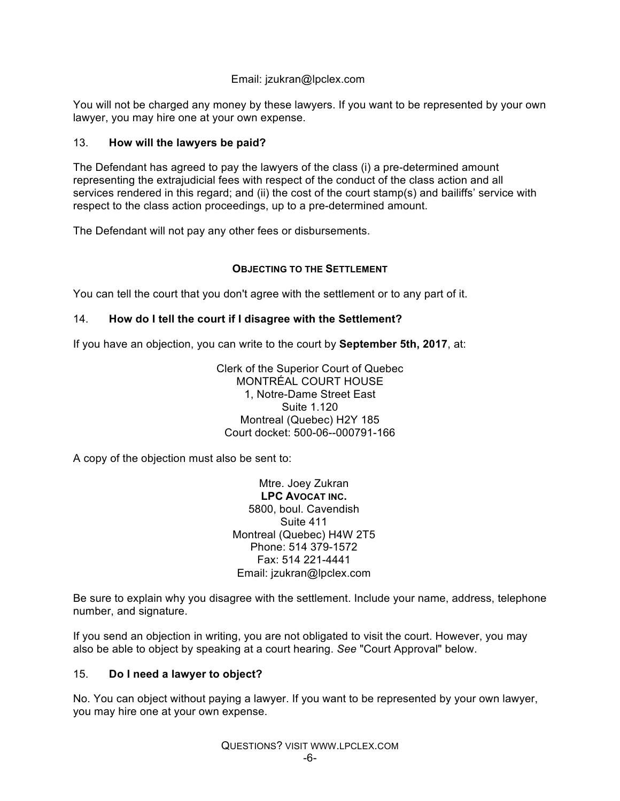## Email: jzukran@lpclex.com

You will not be charged any money by these lawyers. If you want to be represented by your own lawyer, you may hire one at your own expense.

# 13. **How will the lawyers be paid?**

The Defendant has agreed to pay the lawyers of the class (i) a pre-determined amount representing the extrajudicial fees with respect of the conduct of the class action and all services rendered in this regard; and (ii) the cost of the court stamp(s) and bailiffs' service with respect to the class action proceedings, up to a pre-determined amount.

The Defendant will not pay any other fees or disbursements.

# **OBJECTING TO THE SETTLEMENT**

You can tell the court that you don't agree with the settlement or to any part of it.

# 14. **How do I tell the court if I disagree with the Settlement?**

If you have an objection, you can write to the court by **September 5th, 2017**, at:

Clerk of the Superior Court of Quebec MONTRÉAL COURT HOUSE 1, Notre-Dame Street East Suite 1.120 Montreal (Quebec) H2Y 185 Court docket: 500-06--000791-166

A copy of the objection must also be sent to:

Mtre. Joey Zukran **LPC AVOCAT INC.** 5800, boul. Cavendish Suite 411 Montreal (Quebec) H4W 2T5 Phone: 514 379-1572 Fax: 514 221-4441 Email: jzukran@lpclex.com

Be sure to explain why you disagree with the settlement. Include your name, address, telephone number, and signature.

If you send an objection in writing, you are not obligated to visit the court. However, you may also be able to object by speaking at a court hearing. *See* "Court Approval" below.

## 15. **Do I need a lawyer to object?**

No. You can object without paying a lawyer. If you want to be represented by your own lawyer, you may hire one at your own expense.